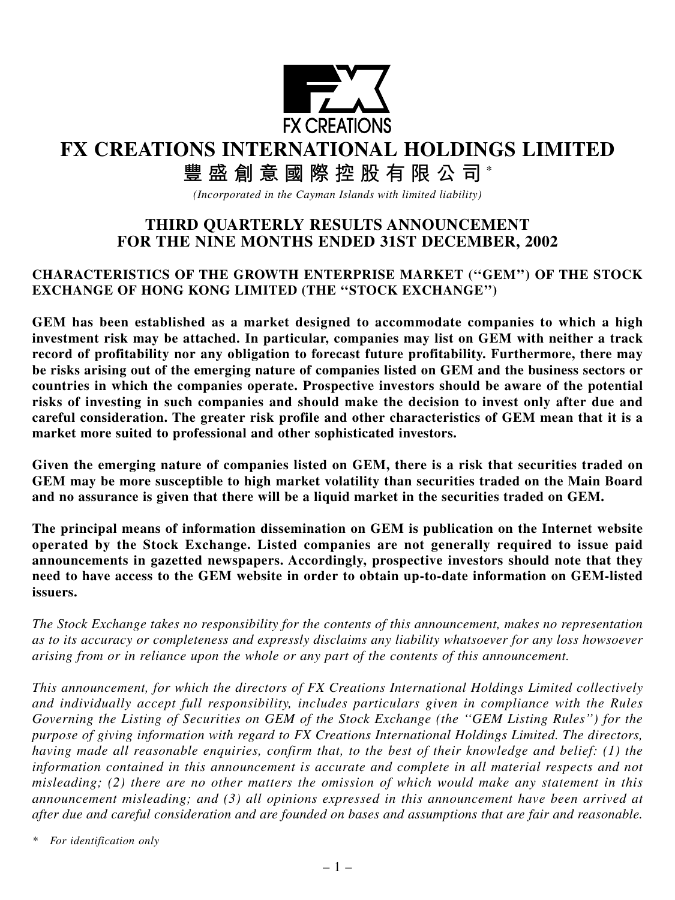

# **FX CREATIONS INTERNATIONAL HOLDINGS LIMITED**

# **豐盛創意國際控股有限公司** \*

*(Incorporated in the Cayman Islands with limited liability)*

# **THIRD QUARTERLY RESULTS ANNOUNCEMENT FOR THE NINE MONTHS ENDED 31ST DECEMBER, 2002**

# **CHARACTERISTICS OF THE GROWTH ENTERPRISE MARKET (''GEM'') OF THE STOCK EXCHANGE OF HONG KONG LIMITED (THE ''STOCK EXCHANGE'')**

**GEM has been established as a market designed to accommodate companies to which a high investment risk may be attached. In particular, companies may list on GEM with neither a track record of profitability nor any obligation to forecast future profitability. Furthermore, there may be risks arising out of the emerging nature of companies listed on GEM and the business sectors or countries in which the companies operate. Prospective investors should be aware of the potential risks of investing in such companies and should make the decision to invest only after due and careful consideration. The greater risk profile and other characteristics of GEM mean that it is a market more suited to professional and other sophisticated investors.**

**Given the emerging nature of companies listed on GEM, there is a risk that securities traded on GEM may be more susceptible to high market volatility than securities traded on the Main Board and no assurance is given that there will be a liquid market in the securities traded on GEM.**

**The principal means of information dissemination on GEM is publication on the Internet website operated by the Stock Exchange. Listed companies are not generally required to issue paid announcements in gazetted newspapers. Accordingly, prospective investors should note that they need to have access to the GEM website in order to obtain up-to-date information on GEM-listed issuers.**

*The Stock Exchange takes no responsibility for the contents of this announcement, makes no representation as to its accuracy or completeness and expressly disclaims any liability whatsoever for any loss howsoever arising from or in reliance upon the whole or any part of the contents of this announcement.*

*This announcement, for which the directors of FX Creations International Holdings Limited collectively and individually accept full responsibility, includes particulars given in compliance with the Rules Governing the Listing of Securities on GEM of the Stock Exchange (the ''GEM Listing Rules'') for the purpose of giving information with regard to FX Creations International Holdings Limited. The directors, having made all reasonable enquiries, confirm that, to the best of their knowledge and belief: (1) the information contained in this announcement is accurate and complete in all material respects and not misleading; (2) there are no other matters the omission of which would make any statement in this announcement misleading; and (3) all opinions expressed in this announcement have been arrived at after due and careful consideration and are founded on bases and assumptions that are fair and reasonable.*

*\* For identification only*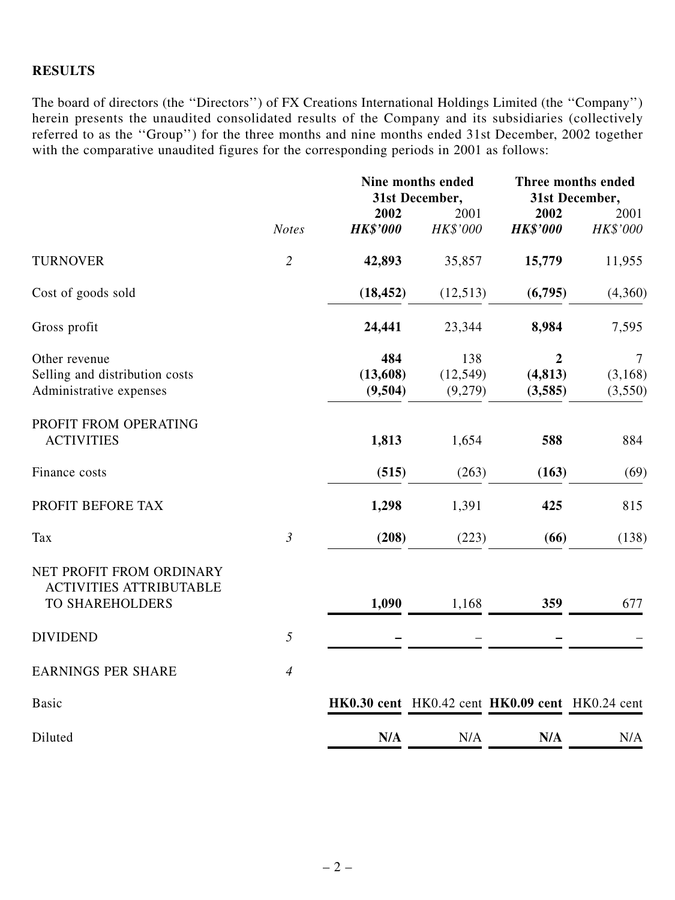# **RESULTS**

The board of directors (the ''Directors'') of FX Creations International Holdings Limited (the ''Company'') herein presents the unaudited consolidated results of the Company and its subsidiaries (collectively referred to as the ''Group'') for the three months and nine months ended 31st December, 2002 together with the comparative unaudited figures for the corresponding periods in 2001 as follows:

|                                                                               | <b>Notes</b>   | Nine months ended<br>31st December, |                             | Three months ended<br>31st December,            |                                       |
|-------------------------------------------------------------------------------|----------------|-------------------------------------|-----------------------------|-------------------------------------------------|---------------------------------------|
|                                                                               |                | 2002<br><b>HK\$'000</b>             | 2001<br>HK\$'000            | 2002<br><b>HK\$'000</b>                         | 2001<br>HK\$'000                      |
| <b>TURNOVER</b>                                                               | $\overline{2}$ | 42,893                              | 35,857                      | 15,779                                          | 11,955                                |
| Cost of goods sold                                                            |                | (18, 452)                           | (12,513)                    | (6,795)                                         | (4,360)                               |
| Gross profit                                                                  |                | 24,441                              | 23,344                      | 8,984                                           | 7,595                                 |
| Other revenue<br>Selling and distribution costs<br>Administrative expenses    |                | 484<br>(13,608)<br>(9,504)          | 138<br>(12, 549)<br>(9,279) | 2<br>(4, 813)<br>(3,585)                        | $\overline{7}$<br>(3, 168)<br>(3,550) |
| PROFIT FROM OPERATING<br><b>ACTIVITIES</b>                                    |                | 1,813                               | 1,654                       | 588                                             | 884                                   |
| Finance costs                                                                 |                | (515)                               | (263)                       | (163)                                           | (69)                                  |
| PROFIT BEFORE TAX                                                             |                | 1,298                               | 1,391                       | 425                                             | 815                                   |
| <b>Tax</b>                                                                    | $\mathfrak{Z}$ | (208)                               | (223)                       | (66)                                            | (138)                                 |
| NET PROFIT FROM ORDINARY<br><b>ACTIVITIES ATTRIBUTABLE</b><br>TO SHAREHOLDERS |                | 1,090                               | 1,168                       | 359                                             | 677                                   |
| <b>DIVIDEND</b>                                                               | $\sqrt{2}$     |                                     |                             |                                                 |                                       |
| <b>EARNINGS PER SHARE</b>                                                     | $\overline{4}$ |                                     |                             |                                                 |                                       |
| <b>Basic</b>                                                                  |                |                                     |                             | HK0.30 cent HK0.42 cent HK0.09 cent HK0.24 cent |                                       |
| Diluted                                                                       |                | N/A                                 | N/A                         | N/A                                             | N/A                                   |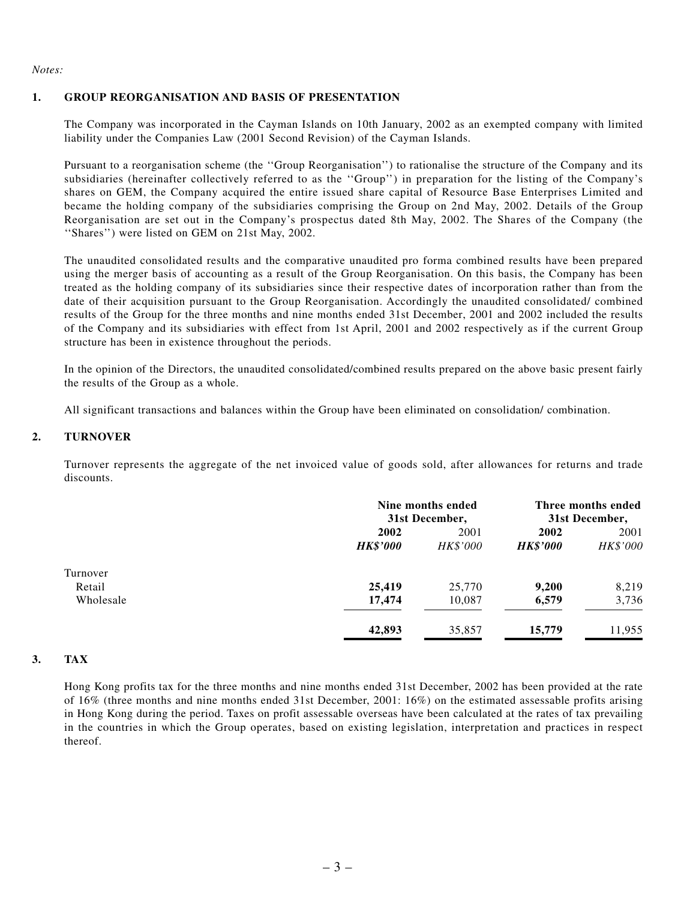*Notes:*

### **1. GROUP REORGANISATION AND BASIS OF PRESENTATION**

The Company was incorporated in the Cayman Islands on 10th January, 2002 as an exempted company with limited liability under the Companies Law (2001 Second Revision) of the Cayman Islands.

Pursuant to a reorganisation scheme (the ''Group Reorganisation'') to rationalise the structure of the Company and its subsidiaries (hereinafter collectively referred to as the ''Group'') in preparation for the listing of the Company's shares on GEM, the Company acquired the entire issued share capital of Resource Base Enterprises Limited and became the holding company of the subsidiaries comprising the Group on 2nd May, 2002. Details of the Group Reorganisation are set out in the Company's prospectus dated 8th May, 2002. The Shares of the Company (the ''Shares'') were listed on GEM on 21st May, 2002.

The unaudited consolidated results and the comparative unaudited pro forma combined results have been prepared using the merger basis of accounting as a result of the Group Reorganisation. On this basis, the Company has been treated as the holding company of its subsidiaries since their respective dates of incorporation rather than from the date of their acquisition pursuant to the Group Reorganisation. Accordingly the unaudited consolidated/ combined results of the Group for the three months and nine months ended 31st December, 2001 and 2002 included the results of the Company and its subsidiaries with effect from 1st April, 2001 and 2002 respectively as if the current Group structure has been in existence throughout the periods.

In the opinion of the Directors, the unaudited consolidated/combined results prepared on the above basic present fairly the results of the Group as a whole.

All significant transactions and balances within the Group have been eliminated on consolidation/ combination.

## **2. TURNOVER**

Turnover represents the aggregate of the net invoiced value of goods sold, after allowances for returns and trade discounts.

|                    |                         | Nine months ended<br>31st December, |                         | Three months ended<br>31st December, |  |
|--------------------|-------------------------|-------------------------------------|-------------------------|--------------------------------------|--|
|                    | 2002<br><b>HK\$'000</b> | 2001<br><i>HK\$'000</i>             | 2002<br><b>HK\$'000</b> | 2001<br>HK\$'000                     |  |
| Turnover<br>Retail | 25,419                  | 25,770                              | 9,200                   | 8,219                                |  |
| Wholesale          | 17,474                  | 10,087                              | 6,579                   | 3,736                                |  |
|                    | 42,893                  | 35,857                              | 15,779                  | 11,955                               |  |

### **3. TAX**

Hong Kong profits tax for the three months and nine months ended 31st December, 2002 has been provided at the rate of 16% (three months and nine months ended 31st December, 2001: 16%) on the estimated assessable profits arising in Hong Kong during the period. Taxes on profit assessable overseas have been calculated at the rates of tax prevailing in the countries in which the Group operates, based on existing legislation, interpretation and practices in respect thereof.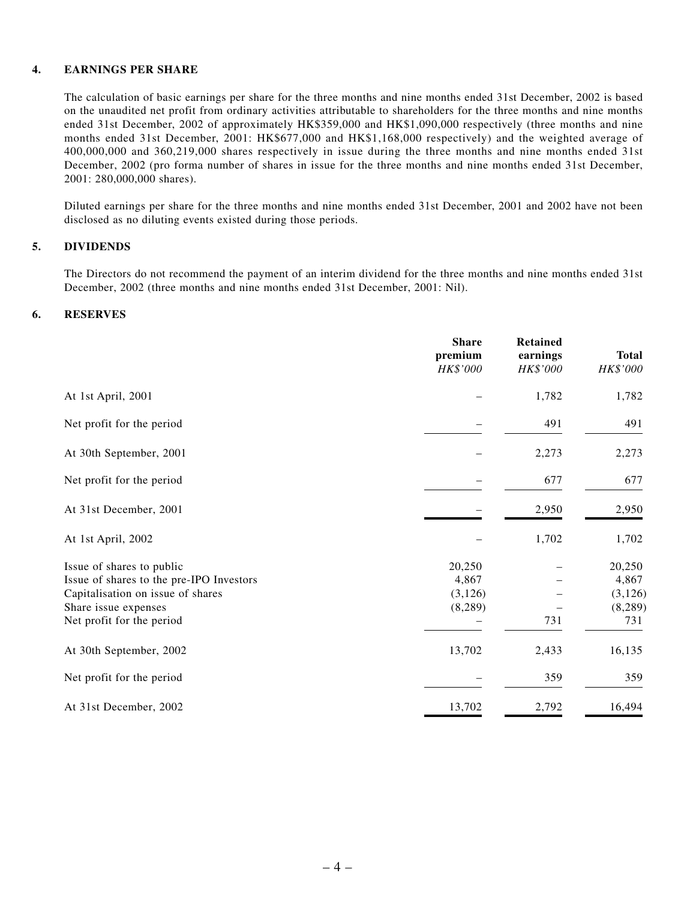#### **4. EARNINGS PER SHARE**

The calculation of basic earnings per share for the three months and nine months ended 31st December, 2002 is based on the unaudited net profit from ordinary activities attributable to shareholders for the three months and nine months ended 31st December, 2002 of approximately HK\$359,000 and HK\$1,090,000 respectively (three months and nine months ended 31st December, 2001: HK\$677,000 and HK\$1,168,000 respectively) and the weighted average of 400,000,000 and 360,219,000 shares respectively in issue during the three months and nine months ended 31st December, 2002 (pro forma number of shares in issue for the three months and nine months ended 31st December, 2001: 280,000,000 shares).

Diluted earnings per share for the three months and nine months ended 31st December, 2001 and 2002 have not been disclosed as no diluting events existed during those periods.

#### **5. DIVIDENDS**

The Directors do not recommend the payment of an interim dividend for the three months and nine months ended 31st December, 2002 (three months and nine months ended 31st December, 2001: Nil).

#### **6. RESERVES**

|                                                                                                                                                                 | <b>Share</b><br>premium<br>HK\$'000    | <b>Retained</b><br>earnings<br>HK\$'000 | <b>Total</b><br>HK\$'000                       |
|-----------------------------------------------------------------------------------------------------------------------------------------------------------------|----------------------------------------|-----------------------------------------|------------------------------------------------|
| At 1st April, 2001                                                                                                                                              |                                        | 1,782                                   | 1,782                                          |
| Net profit for the period                                                                                                                                       |                                        | 491                                     | 491                                            |
| At 30th September, 2001                                                                                                                                         |                                        | 2,273                                   | 2,273                                          |
| Net profit for the period                                                                                                                                       |                                        | 677                                     | 677                                            |
| At 31st December, 2001                                                                                                                                          |                                        | 2,950                                   | 2,950                                          |
| At 1st April, 2002                                                                                                                                              |                                        | 1,702                                   | 1,702                                          |
| Issue of shares to public<br>Issue of shares to the pre-IPO Investors<br>Capitalisation on issue of shares<br>Share issue expenses<br>Net profit for the period | 20,250<br>4,867<br>(3, 126)<br>(8,289) | 731                                     | 20,250<br>4,867<br>(3, 126)<br>(8, 289)<br>731 |
| At 30th September, 2002                                                                                                                                         | 13,702                                 | 2,433                                   | 16,135                                         |
| Net profit for the period                                                                                                                                       |                                        | 359                                     | 359                                            |
| At 31st December, 2002                                                                                                                                          | 13,702                                 | 2,792                                   | 16,494                                         |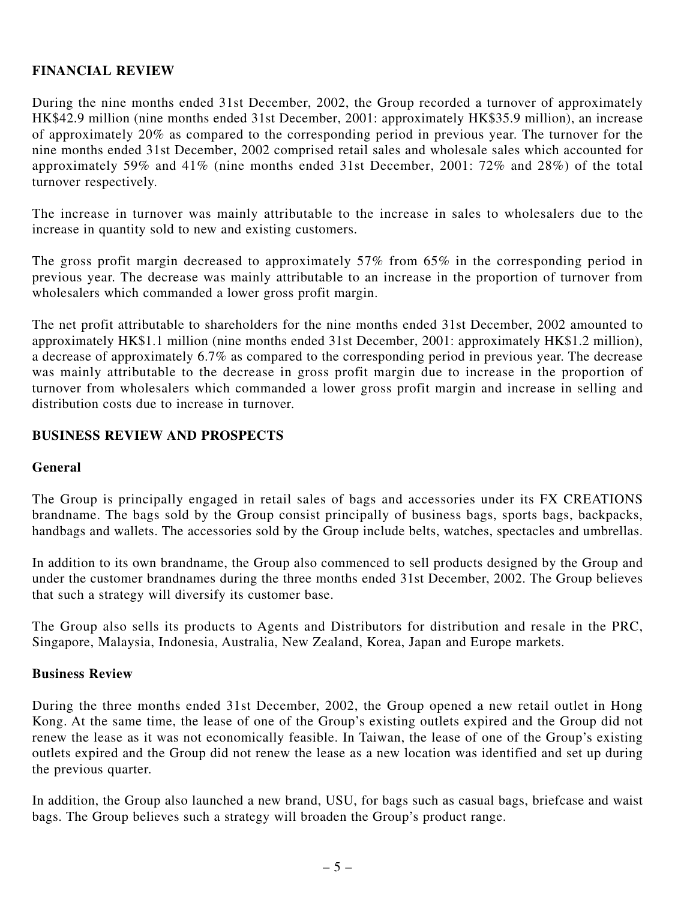# **FINANCIAL REVIEW**

During the nine months ended 31st December, 2002, the Group recorded a turnover of approximately HK\$42.9 million (nine months ended 31st December, 2001: approximately HK\$35.9 million), an increase of approximately 20% as compared to the corresponding period in previous year. The turnover for the nine months ended 31st December, 2002 comprised retail sales and wholesale sales which accounted for approximately 59% and 41% (nine months ended 31st December, 2001: 72% and 28%) of the total turnover respectively.

The increase in turnover was mainly attributable to the increase in sales to wholesalers due to the increase in quantity sold to new and existing customers.

The gross profit margin decreased to approximately 57% from 65% in the corresponding period in previous year. The decrease was mainly attributable to an increase in the proportion of turnover from wholesalers which commanded a lower gross profit margin.

The net profit attributable to shareholders for the nine months ended 31st December, 2002 amounted to approximately HK\$1.1 million (nine months ended 31st December, 2001: approximately HK\$1.2 million), a decrease of approximately 6.7% as compared to the corresponding period in previous year. The decrease was mainly attributable to the decrease in gross profit margin due to increase in the proportion of turnover from wholesalers which commanded a lower gross profit margin and increase in selling and distribution costs due to increase in turnover.

# **BUSINESS REVIEW AND PROSPECTS**

# **General**

The Group is principally engaged in retail sales of bags and accessories under its FX CREATIONS brandname. The bags sold by the Group consist principally of business bags, sports bags, backpacks, handbags and wallets. The accessories sold by the Group include belts, watches, spectacles and umbrellas.

In addition to its own brandname, the Group also commenced to sell products designed by the Group and under the customer brandnames during the three months ended 31st December, 2002. The Group believes that such a strategy will diversify its customer base.

The Group also sells its products to Agents and Distributors for distribution and resale in the PRC, Singapore, Malaysia, Indonesia, Australia, New Zealand, Korea, Japan and Europe markets.

# **Business Review**

During the three months ended 31st December, 2002, the Group opened a new retail outlet in Hong Kong. At the same time, the lease of one of the Group's existing outlets expired and the Group did not renew the lease as it was not economically feasible. In Taiwan, the lease of one of the Group's existing outlets expired and the Group did not renew the lease as a new location was identified and set up during the previous quarter.

In addition, the Group also launched a new brand, USU, for bags such as casual bags, briefcase and waist bags. The Group believes such a strategy will broaden the Group's product range.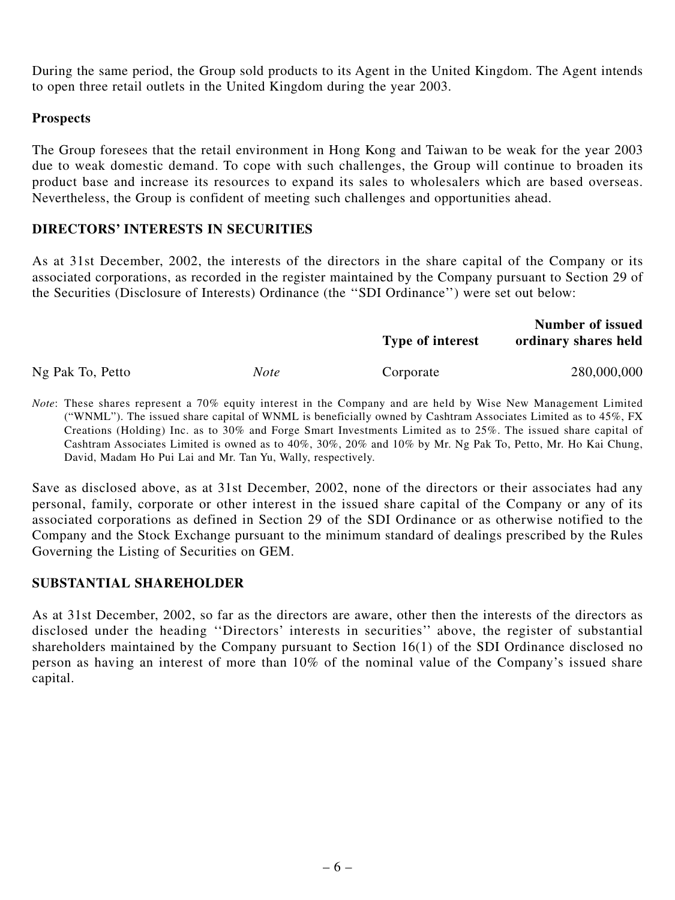During the same period, the Group sold products to its Agent in the United Kingdom. The Agent intends to open three retail outlets in the United Kingdom during the year 2003.

# **Prospects**

The Group foresees that the retail environment in Hong Kong and Taiwan to be weak for the year 2003 due to weak domestic demand. To cope with such challenges, the Group will continue to broaden its product base and increase its resources to expand its sales to wholesalers which are based overseas. Nevertheless, the Group is confident of meeting such challenges and opportunities ahead.

# **DIRECTORS' INTERESTS IN SECURITIES**

As at 31st December, 2002, the interests of the directors in the share capital of the Company or its associated corporations, as recorded in the register maintained by the Company pursuant to Section 29 of the Securities (Disclosure of Interests) Ordinance (the ''SDI Ordinance'') were set out below:

|                  |      | Number of issued        |                      |  |
|------------------|------|-------------------------|----------------------|--|
|                  |      | <b>Type of interest</b> | ordinary shares held |  |
| Ng Pak To, Petto | Note | Corporate               | 280,000,000          |  |

*Note*: These shares represent a 70% equity interest in the Company and are held by Wise New Management Limited ("WNML"). The issued share capital of WNML is beneficially owned by Cashtram Associates Limited as to 45%, FX Creations (Holding) Inc. as to 30% and Forge Smart Investments Limited as to 25%. The issued share capital of Cashtram Associates Limited is owned as to 40%, 30%, 20% and 10% by Mr. Ng Pak To, Petto, Mr. Ho Kai Chung, David, Madam Ho Pui Lai and Mr. Tan Yu, Wally, respectively.

Save as disclosed above, as at 31st December, 2002, none of the directors or their associates had any personal, family, corporate or other interest in the issued share capital of the Company or any of its associated corporations as defined in Section 29 of the SDI Ordinance or as otherwise notified to the Company and the Stock Exchange pursuant to the minimum standard of dealings prescribed by the Rules Governing the Listing of Securities on GEM.

# **SUBSTANTIAL SHAREHOLDER**

As at 31st December, 2002, so far as the directors are aware, other then the interests of the directors as disclosed under the heading ''Directors' interests in securities'' above, the register of substantial shareholders maintained by the Company pursuant to Section 16(1) of the SDI Ordinance disclosed no person as having an interest of more than 10% of the nominal value of the Company's issued share capital.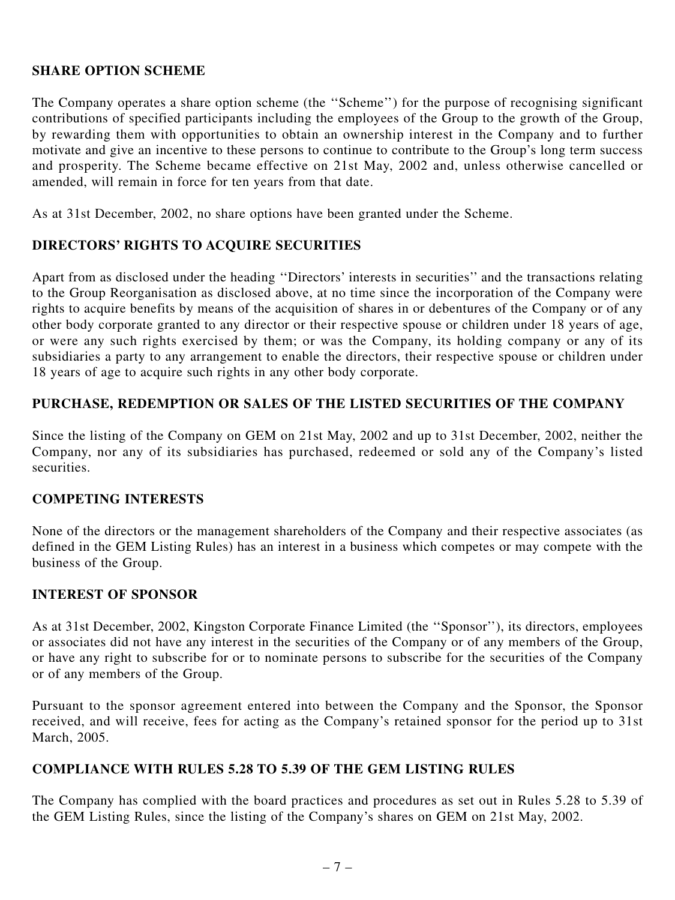# **SHARE OPTION SCHEME**

The Company operates a share option scheme (the ''Scheme'') for the purpose of recognising significant contributions of specified participants including the employees of the Group to the growth of the Group, by rewarding them with opportunities to obtain an ownership interest in the Company and to further motivate and give an incentive to these persons to continue to contribute to the Group's long term success and prosperity. The Scheme became effective on 21st May, 2002 and, unless otherwise cancelled or amended, will remain in force for ten years from that date.

As at 31st December, 2002, no share options have been granted under the Scheme.

# **DIRECTORS' RIGHTS TO ACQUIRE SECURITIES**

Apart from as disclosed under the heading ''Directors' interests in securities'' and the transactions relating to the Group Reorganisation as disclosed above, at no time since the incorporation of the Company were rights to acquire benefits by means of the acquisition of shares in or debentures of the Company or of any other body corporate granted to any director or their respective spouse or children under 18 years of age, or were any such rights exercised by them; or was the Company, its holding company or any of its subsidiaries a party to any arrangement to enable the directors, their respective spouse or children under 18 years of age to acquire such rights in any other body corporate.

# **PURCHASE, REDEMPTION OR SALES OF THE LISTED SECURITIES OF THE COMPANY**

Since the listing of the Company on GEM on 21st May, 2002 and up to 31st December, 2002, neither the Company, nor any of its subsidiaries has purchased, redeemed or sold any of the Company's listed securities.

# **COMPETING INTERESTS**

None of the directors or the management shareholders of the Company and their respective associates (as defined in the GEM Listing Rules) has an interest in a business which competes or may compete with the business of the Group.

# **INTEREST OF SPONSOR**

As at 31st December, 2002, Kingston Corporate Finance Limited (the ''Sponsor''), its directors, employees or associates did not have any interest in the securities of the Company or of any members of the Group, or have any right to subscribe for or to nominate persons to subscribe for the securities of the Company or of any members of the Group.

Pursuant to the sponsor agreement entered into between the Company and the Sponsor, the Sponsor received, and will receive, fees for acting as the Company's retained sponsor for the period up to 31st March, 2005.

# **COMPLIANCE WITH RULES 5.28 TO 5.39 OF THE GEM LISTING RULES**

The Company has complied with the board practices and procedures as set out in Rules 5.28 to 5.39 of the GEM Listing Rules, since the listing of the Company's shares on GEM on 21st May, 2002.